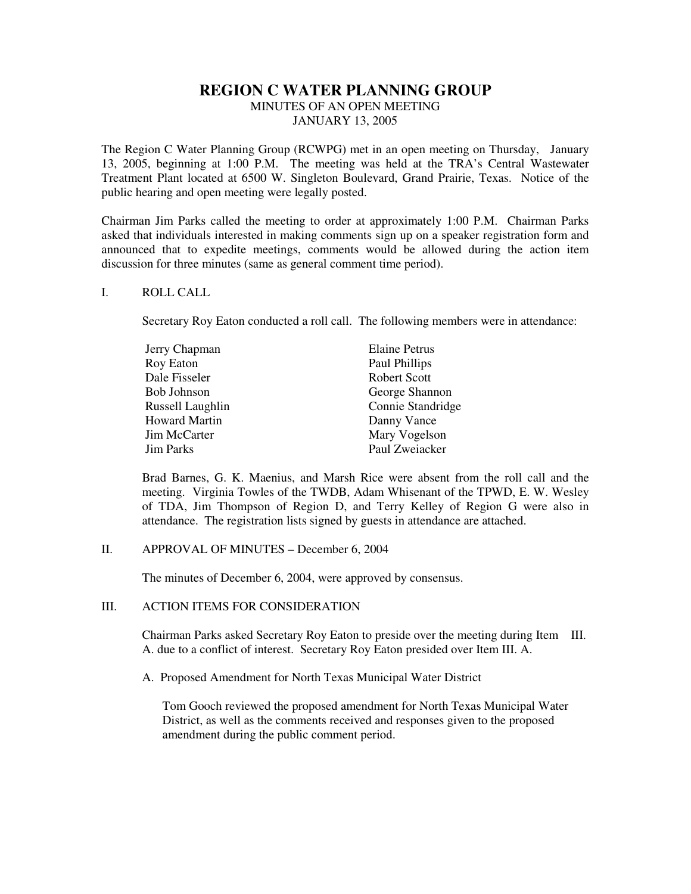# **REGION C WATER PLANNING GROUP**

MINUTES OF AN OPEN MEETING JANUARY 13, 2005

The Region C Water Planning Group (RCWPG) met in an open meeting on Thursday, January 13, 2005, beginning at 1:00 P.M. The meeting was held at the TRA's Central Wastewater Treatment Plant located at 6500 W. Singleton Boulevard, Grand Prairie, Texas. Notice of the public hearing and open meeting were legally posted.

Chairman Jim Parks called the meeting to order at approximately 1:00 P.M. Chairman Parks asked that individuals interested in making comments sign up on a speaker registration form and announced that to expedite meetings, comments would be allowed during the action item discussion for three minutes (same as general comment time period).

## I. ROLL CALL

Secretary Roy Eaton conducted a roll call. The following members were in attendance:

| <b>Elaine Petrus</b> |
|----------------------|
| Paul Phillips        |
| Robert Scott         |
| George Shannon       |
| Connie Standridge    |
| Danny Vance          |
| Mary Vogelson        |
| Paul Zweiacker       |
|                      |

Brad Barnes, G. K. Maenius, and Marsh Rice were absent from the roll call and the meeting. Virginia Towles of the TWDB, Adam Whisenant of the TPWD, E. W. Wesley of TDA, Jim Thompson of Region D, and Terry Kelley of Region G were also in attendance. The registration lists signed by guests in attendance are attached.

II. APPROVAL OF MINUTES – December 6, 2004

The minutes of December 6, 2004, were approved by consensus.

## III. ACTION ITEMS FOR CONSIDERATION

Chairman Parks asked Secretary Roy Eaton to preside over the meeting during Item III. A. due to a conflict of interest. Secretary Roy Eaton presided over Item III. A.

A. Proposed Amendment for North Texas Municipal Water District

Tom Gooch reviewed the proposed amendment for North Texas Municipal Water District, as well as the comments received and responses given to the proposed amendment during the public comment period.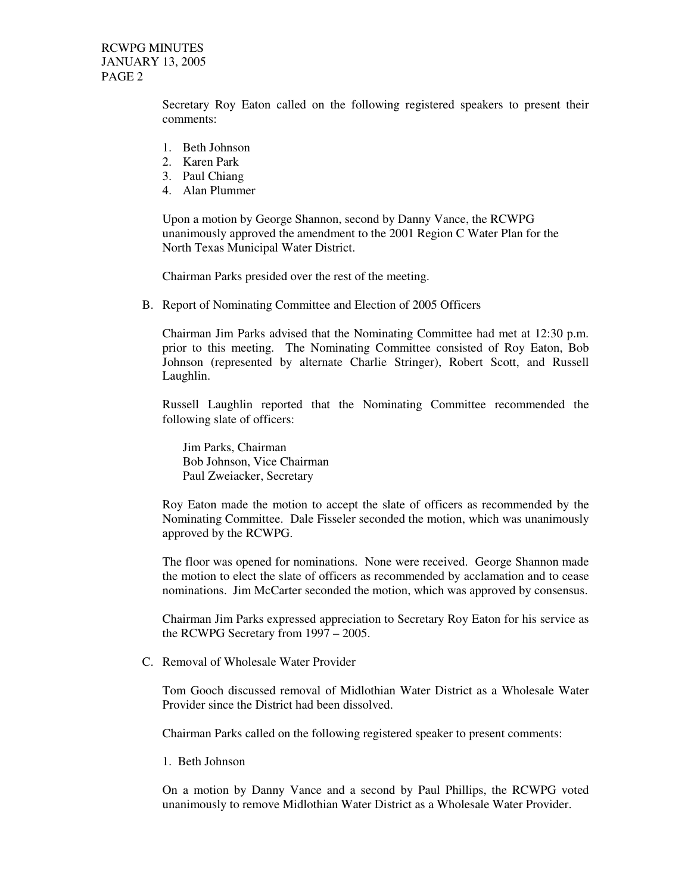RCWPG MINUTES JANUARY 13, 2005 PAGE 2

> Secretary Roy Eaton called on the following registered speakers to present their comments:

- 1. Beth Johnson
- 2. Karen Park
- 3. Paul Chiang
- 4. Alan Plummer

Upon a motion by George Shannon, second by Danny Vance, the RCWPG unanimously approved the amendment to the 2001 Region C Water Plan for the North Texas Municipal Water District.

Chairman Parks presided over the rest of the meeting.

B. Report of Nominating Committee and Election of 2005 Officers

Chairman Jim Parks advised that the Nominating Committee had met at 12:30 p.m. prior to this meeting. The Nominating Committee consisted of Roy Eaton, Bob Johnson (represented by alternate Charlie Stringer), Robert Scott, and Russell Laughlin.

Russell Laughlin reported that the Nominating Committee recommended the following slate of officers:

Jim Parks, Chairman Bob Johnson, Vice Chairman Paul Zweiacker, Secretary

Roy Eaton made the motion to accept the slate of officers as recommended by the Nominating Committee. Dale Fisseler seconded the motion, which was unanimously approved by the RCWPG.

The floor was opened for nominations. None were received. George Shannon made the motion to elect the slate of officers as recommended by acclamation and to cease nominations. Jim McCarter seconded the motion, which was approved by consensus.

Chairman Jim Parks expressed appreciation to Secretary Roy Eaton for his service as the RCWPG Secretary from 1997 – 2005.

C. Removal of Wholesale Water Provider

Tom Gooch discussed removal of Midlothian Water District as a Wholesale Water Provider since the District had been dissolved.

Chairman Parks called on the following registered speaker to present comments:

1. Beth Johnson

On a motion by Danny Vance and a second by Paul Phillips, the RCWPG voted unanimously to remove Midlothian Water District as a Wholesale Water Provider.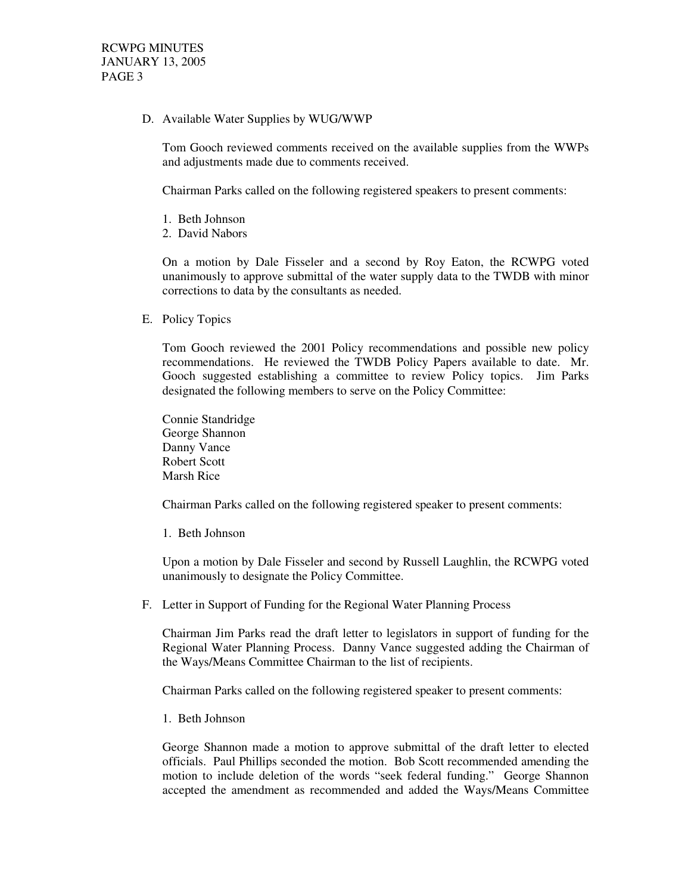D. Available Water Supplies by WUG/WWP

Tom Gooch reviewed comments received on the available supplies from the WWPs and adjustments made due to comments received.

Chairman Parks called on the following registered speakers to present comments:

- 1. Beth Johnson
- 2. David Nabors

On a motion by Dale Fisseler and a second by Roy Eaton, the RCWPG voted unanimously to approve submittal of the water supply data to the TWDB with minor corrections to data by the consultants as needed.

E. Policy Topics

Tom Gooch reviewed the 2001 Policy recommendations and possible new policy recommendations. He reviewed the TWDB Policy Papers available to date. Mr. Gooch suggested establishing a committee to review Policy topics. Jim Parks designated the following members to serve on the Policy Committee:

Connie Standridge George Shannon Danny Vance Robert Scott Marsh Rice

Chairman Parks called on the following registered speaker to present comments:

1. Beth Johnson

Upon a motion by Dale Fisseler and second by Russell Laughlin, the RCWPG voted unanimously to designate the Policy Committee.

F. Letter in Support of Funding for the Regional Water Planning Process

Chairman Jim Parks read the draft letter to legislators in support of funding for the Regional Water Planning Process. Danny Vance suggested adding the Chairman of the Ways/Means Committee Chairman to the list of recipients.

Chairman Parks called on the following registered speaker to present comments:

1. Beth Johnson

George Shannon made a motion to approve submittal of the draft letter to elected officials. Paul Phillips seconded the motion. Bob Scott recommended amending the motion to include deletion of the words "seek federal funding." George Shannon accepted the amendment as recommended and added the Ways/Means Committee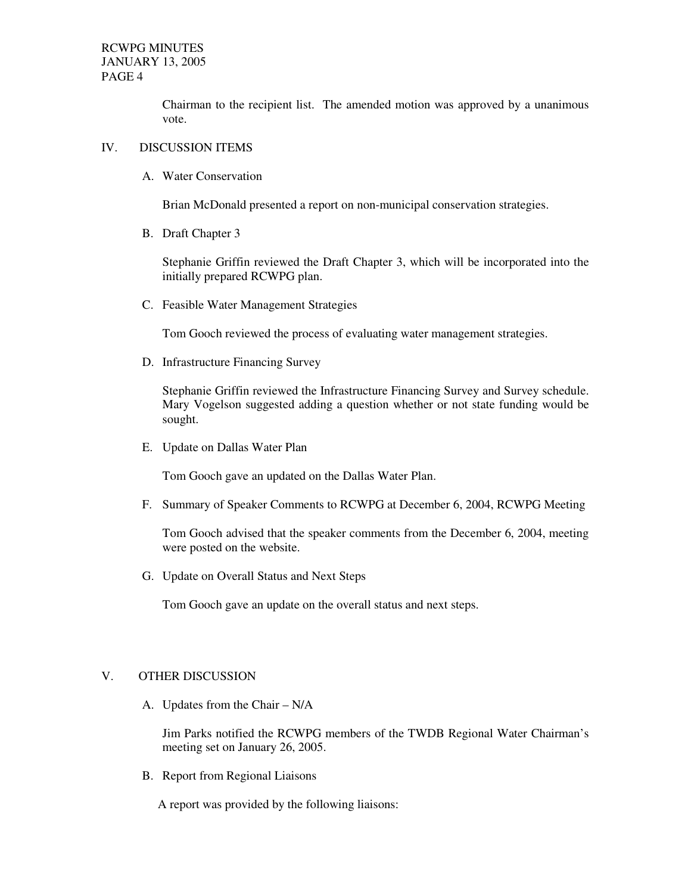Chairman to the recipient list. The amended motion was approved by a unanimous vote.

#### IV. DISCUSSION ITEMS

A. Water Conservation

Brian McDonald presented a report on non-municipal conservation strategies.

B. Draft Chapter 3

Stephanie Griffin reviewed the Draft Chapter 3, which will be incorporated into the initially prepared RCWPG plan.

C. Feasible Water Management Strategies

Tom Gooch reviewed the process of evaluating water management strategies.

D. Infrastructure Financing Survey

Stephanie Griffin reviewed the Infrastructure Financing Survey and Survey schedule. Mary Vogelson suggested adding a question whether or not state funding would be sought.

E. Update on Dallas Water Plan

Tom Gooch gave an updated on the Dallas Water Plan.

F. Summary of Speaker Comments to RCWPG at December 6, 2004, RCWPG Meeting

Tom Gooch advised that the speaker comments from the December 6, 2004, meeting were posted on the website.

G. Update on Overall Status and Next Steps

Tom Gooch gave an update on the overall status and next steps.

## V. OTHER DISCUSSION

A. Updates from the Chair – N/A

Jim Parks notified the RCWPG members of the TWDB Regional Water Chairman's meeting set on January 26, 2005.

B. Report from Regional Liaisons

A report was provided by the following liaisons: